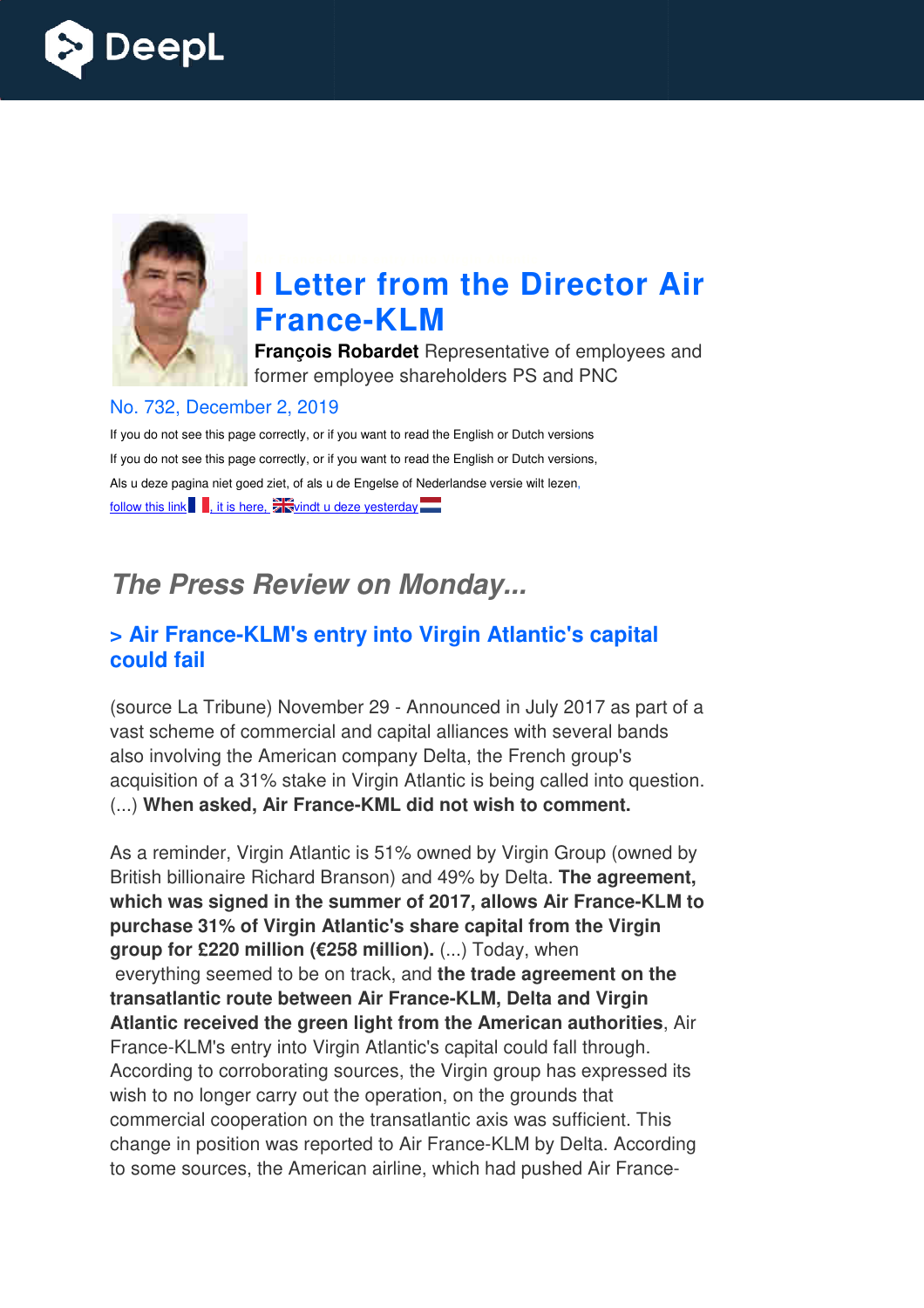



# **I Letter from the Director Air France France-KLM**

**François Robardet** Representative of employees and former employee shareholders PS and PNC

#### No. 732, December 2, 2019

If you do not see this page correctly, or if you want to read the English or Dutch versions If you do not see this page correctly, or if you want to read the English or Dutch versions, Als u deze pagina niet goed ziet, of als u de Engelse of Nederlandse versie wilt lezen, follow this link  $\blacksquare$ , it is here,  $\frac{1}{2}$  windt u deze yesterday  $\blacksquare$ 

# *The Press Review on Monday...*

#### **x** Air France-KLM's entry into Virgin Atlantic's capital **could fail**

(source La Tribune) November 29 - Announced in July 2017 as part of a vast scheme of commercial and capital alliances with several bands also involving the American company Delta, the French group's acquisition of a 31% stake in Virgin Atlantic is being called into question. (...) **When asked, Air France France-KML did not wish to comment.** 

As a reminder, Virgin Atlantic is 51% owned by Virgin Group (owned by British billionaire Richard Branson) and 49% by Delta. **The agreement, which was signed in the summer of 20 2017, allows Air France-KLM to KLM purchase 31% of Virgin Atlantic's share capital from the Virgin group for £220 million (€258 million).** (...) Today, when everything seemed to be on track, and **the trade agreement on the transatlantic route between Air France France-KLM, Delta and Virgin Atlantic received the green light from the American authorities** , Air France-KLM's entry into Virgin Atlantic's capital could fall through. According to corroborating sources, the Virgin group has expressed its wish to no longer carry out the operation, on the grounds that commercial cooperation on the transatlantic axis was sufficient. This France-KLM's entry into Virgin Atlantic's capital could fall through.<br>According to corroborating sources, the Virgin group has expressed its<br>wish to no longer carry out the operation, on the grounds that<br>commercial coopera to some sources, the American airline, which had pushed Air France KLM by Delta. Accordir<br>1ad pushed Air France-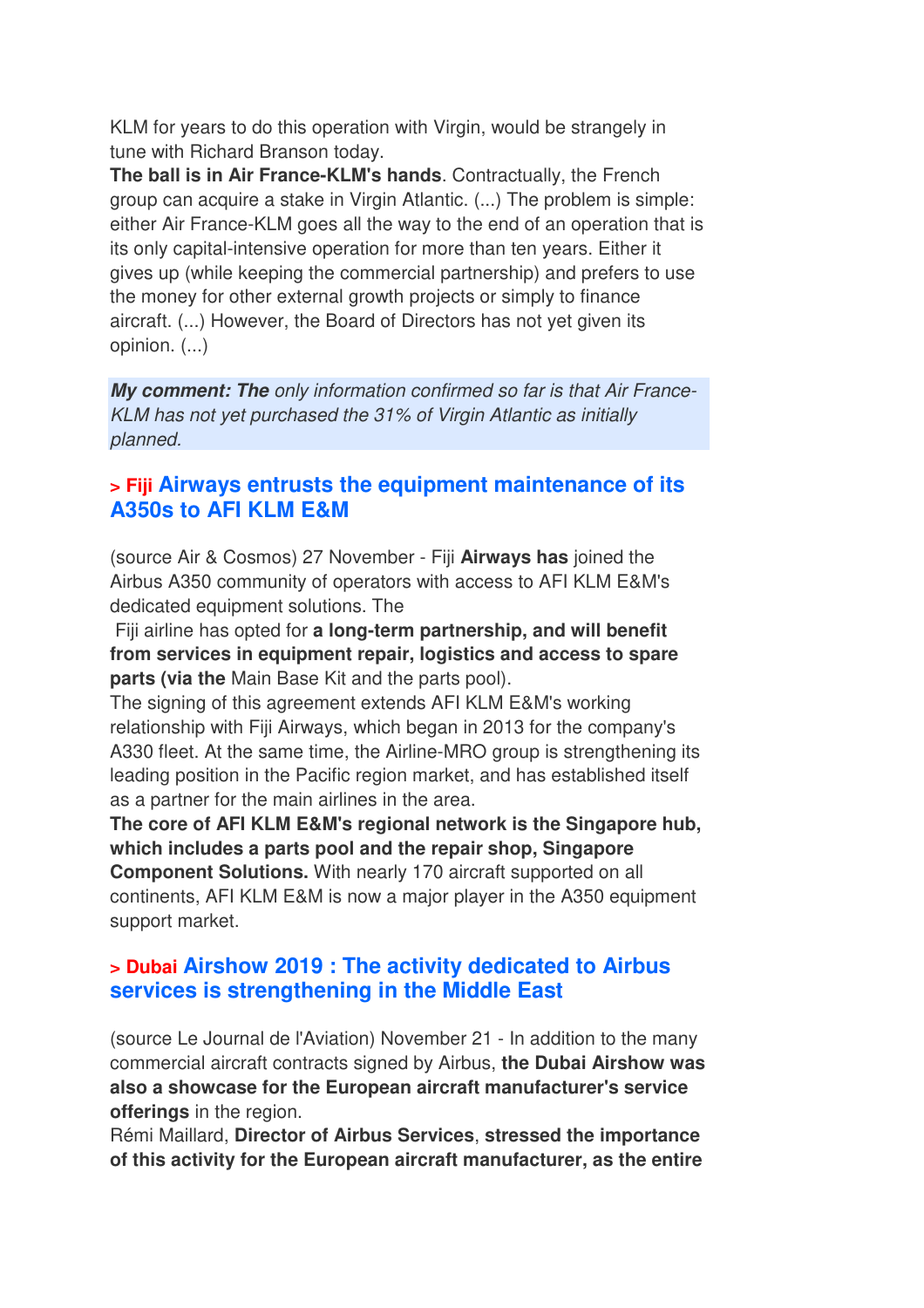KLM for years to do this operation with Virgin, would be strangely in tune with Richard Branson today.

**The ball is in Air France-KLM's hands**. Contractually, the French group can acquire a stake in Virgin Atlantic. (...) The problem is simple: either Air France-KLM goes all the way to the end of an operation that is its only capital-intensive operation for more than ten years. Either it gives up (while keeping the commercial partnership) and prefers to use the money for other external growth projects or simply to finance aircraft. (...) However, the Board of Directors has not yet given its opinion. (...)

*My comment: The only information confirmed so far is that Air France-KLM has not yet purchased the 31% of Virgin Atlantic as initially planned.*

#### **> Fiji Airways entrusts the equipment maintenance of its A350s to AFI KLM E&M**

(source Air & Cosmos) 27 November - Fiji **Airways has** joined the Airbus A350 community of operators with access to AFI KLM E&M's dedicated equipment solutions. The

 Fiji airline has opted for **a long-term partnership, and will benefit from services in equipment repair, logistics and access to spare parts (via the** Main Base Kit and the parts pool).

The signing of this agreement extends AFI KLM E&M's working relationship with Fiji Airways, which began in 2013 for the company's A330 fleet. At the same time, the Airline-MRO group is strengthening its leading position in the Pacific region market, and has established itself as a partner for the main airlines in the area.

**The core of AFI KLM E&M's regional network is the Singapore hub, which includes a parts pool and the repair shop, Singapore Component Solutions.** With nearly 170 aircraft supported on all continents, AFI KLM E&M is now a major player in the A350 equipment support market.

#### **> Dubai Airshow 2019 : The activity dedicated to Airbus services is strengthening in the Middle East**

(source Le Journal de l'Aviation) November 21 - In addition to the many commercial aircraft contracts signed by Airbus, **the Dubai Airshow was also a showcase for the European aircraft manufacturer's service offerings** in the region.

Rémi Maillard, **Director of Airbus Services**, **stressed the importance of this activity for the European aircraft manufacturer, as the entire**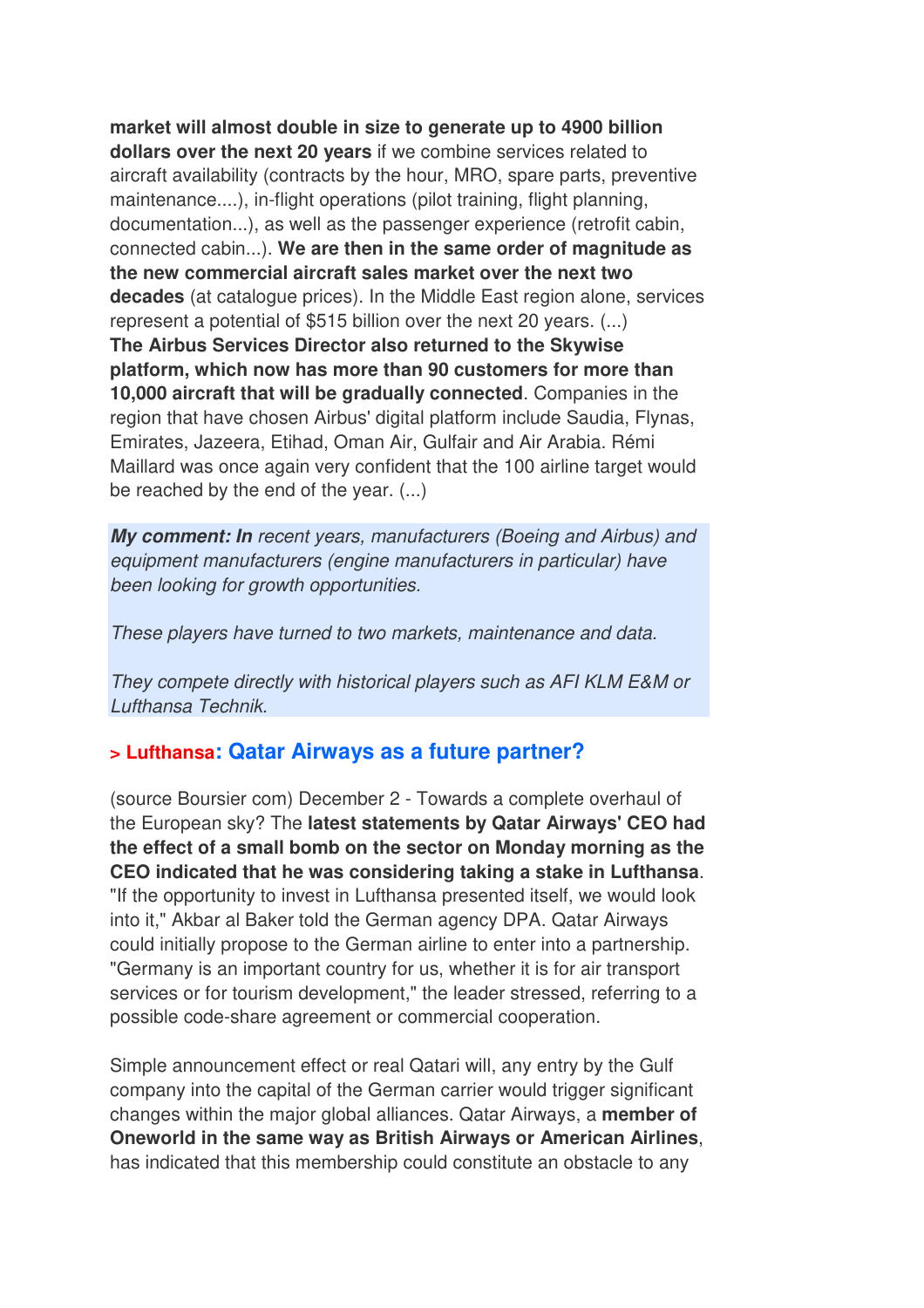**market will almost double in size to generate up to 4900 billion dollars over the next 20 years** if we combine services related to aircraft availability (contracts by the hour, MRO, spare parts, preventive maintenance....), in-flight operations (pilot training, flight planning, documentation...), as well as the passenger experience (retrofit cabin, connected cabin...). **We are then in the same order of magnitude as the new commercial aircraft sales market over the next two decades** (at catalogue prices). In the Middle East region alone, services represent a potential of \$515 billion over the next 20 years. (...) **The Airbus Services Director also returned to the Skywise platform, which now has more than 90 customers for more than 10,000 aircraft that will be gradually connected**. Companies in the region that have chosen Airbus' digital platform include Saudia, Flynas, Emirates, Jazeera, Etihad, Oman Air, Gulfair and Air Arabia. Rémi Maillard was once again very confident that the 100 airline target would be reached by the end of the year. (...)

*My comment: In recent years, manufacturers (Boeing and Airbus) and equipment manufacturers (engine manufacturers in particular) have been looking for growth opportunities.* 

*These players have turned to two markets, maintenance and data.* 

*They compete directly with historical players such as AFI KLM E&M or Lufthansa Technik.*

#### **> Lufthansa: Qatar Airways as a future partner?**

(source Boursier com) December 2 - Towards a complete overhaul of the European sky? The **latest statements by Qatar Airways' CEO had the effect of a small bomb on the sector on Monday morning as the CEO indicated that he was considering taking a stake in Lufthansa**. "If the opportunity to invest in Lufthansa presented itself, we would look into it," Akbar al Baker told the German agency DPA. Qatar Airways could initially propose to the German airline to enter into a partnership. "Germany is an important country for us, whether it is for air transport services or for tourism development," the leader stressed, referring to a possible code-share agreement or commercial cooperation.

Simple announcement effect or real Qatari will, any entry by the Gulf company into the capital of the German carrier would trigger significant changes within the major global alliances. Qatar Airways, a **member of Oneworld in the same way as British Airways or American Airlines**, has indicated that this membership could constitute an obstacle to any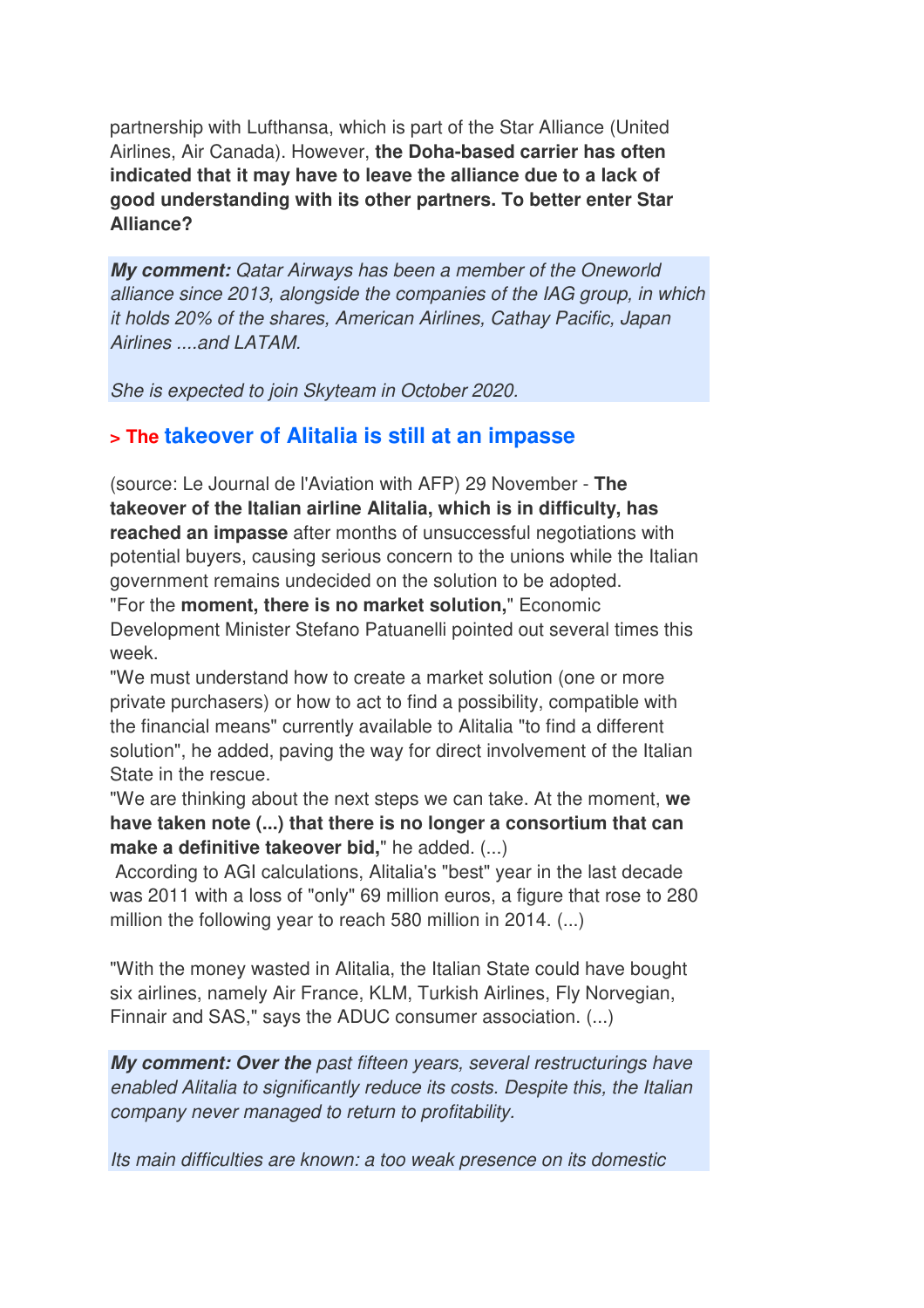partnership with Lufthansa, which is part of the Star Alliance (United Airlines, Air Canada). However, **the Doha-based carrier has often indicated that it may have to leave the alliance due to a lack of good understanding with its other partners. To better enter Star Alliance?**

*My comment: Qatar Airways has been a member of the Oneworld alliance since 2013, alongside the companies of the IAG group, in which it holds 20% of the shares, American Airlines, Cathay Pacific, Japan Airlines ....and LATAM.* 

*She is expected to join Skyteam in October 2020.*

#### **> The takeover of Alitalia is still at an impasse**

(source: Le Journal de l'Aviation with AFP) 29 November - **The takeover of the Italian airline Alitalia, which is in difficulty, has reached an impasse** after months of unsuccessful negotiations with potential buyers, causing serious concern to the unions while the Italian government remains undecided on the solution to be adopted.

"For the **moment, there is no market solution,**" Economic Development Minister Stefano Patuanelli pointed out several times this week.

"We must understand how to create a market solution (one or more private purchasers) or how to act to find a possibility, compatible with the financial means" currently available to Alitalia "to find a different solution", he added, paving the way for direct involvement of the Italian State in the rescue.

"We are thinking about the next steps we can take. At the moment, **we have taken note (...) that there is no longer a consortium that can make a definitive takeover bid,**" he added. (...)

 According to AGI calculations, Alitalia's "best" year in the last decade was 2011 with a loss of "only" 69 million euros, a figure that rose to 280 million the following year to reach 580 million in 2014. (...)

"With the money wasted in Alitalia, the Italian State could have bought six airlines, namely Air France, KLM, Turkish Airlines, Fly Norvegian, Finnair and SAS," says the ADUC consumer association. (...)

*My comment: Over the past fifteen years, several restructurings have enabled Alitalia to significantly reduce its costs. Despite this, the Italian company never managed to return to profitability.* 

*Its main difficulties are known: a too weak presence on its domestic*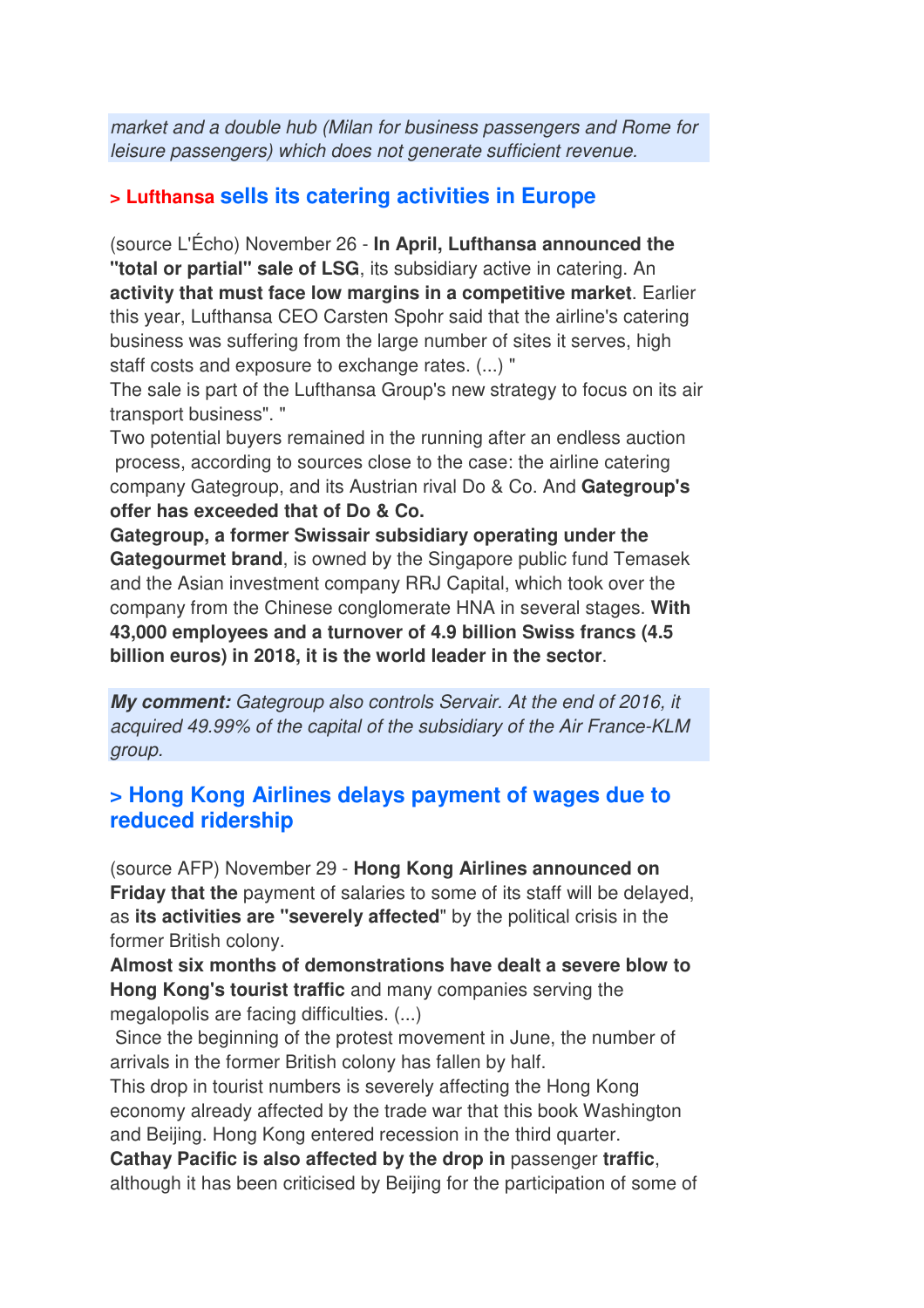*market and a double hub (Milan for business passengers and Rome for leisure passengers) which does not generate sufficient revenue.*

### **> Lufthansa sells its catering activities in Europe**

(source L'Écho) November 26 - **In April, Lufthansa announced the "total or partial" sale of LSG**, its subsidiary active in catering. An **activity that must face low margins in a competitive market**. Earlier this year, Lufthansa CEO Carsten Spohr said that the airline's catering business was suffering from the large number of sites it serves, high staff costs and exposure to exchange rates. (...) "

The sale is part of the Lufthansa Group's new strategy to focus on its air transport business". "

Two potential buyers remained in the running after an endless auction process, according to sources close to the case: the airline catering company Gategroup, and its Austrian rival Do & Co. And **Gategroup's offer has exceeded that of Do & Co.** 

**Gategroup, a former Swissair subsidiary operating under the Gategourmet brand**, is owned by the Singapore public fund Temasek and the Asian investment company RRJ Capital, which took over the company from the Chinese conglomerate HNA in several stages. **With 43,000 employees and a turnover of 4.9 billion Swiss francs (4.5 billion euros) in 2018, it is the world leader in the sector**.

*My comment: Gategroup also controls Servair. At the end of 2016, it acquired 49.99% of the capital of the subsidiary of the Air France-KLM group.*

#### **> Hong Kong Airlines delays payment of wages due to reduced ridership**

(source AFP) November 29 - **Hong Kong Airlines announced on Friday that the** payment of salaries to some of its staff will be delayed, as **its activities are "severely affected**" by the political crisis in the former British colony.

**Almost six months of demonstrations have dealt a severe blow to Hong Kong's tourist traffic** and many companies serving the megalopolis are facing difficulties. (...)

 Since the beginning of the protest movement in June, the number of arrivals in the former British colony has fallen by half.

This drop in tourist numbers is severely affecting the Hong Kong economy already affected by the trade war that this book Washington and Beijing. Hong Kong entered recession in the third quarter.

**Cathay Pacific is also affected by the drop in** passenger **traffic**, although it has been criticised by Beijing for the participation of some of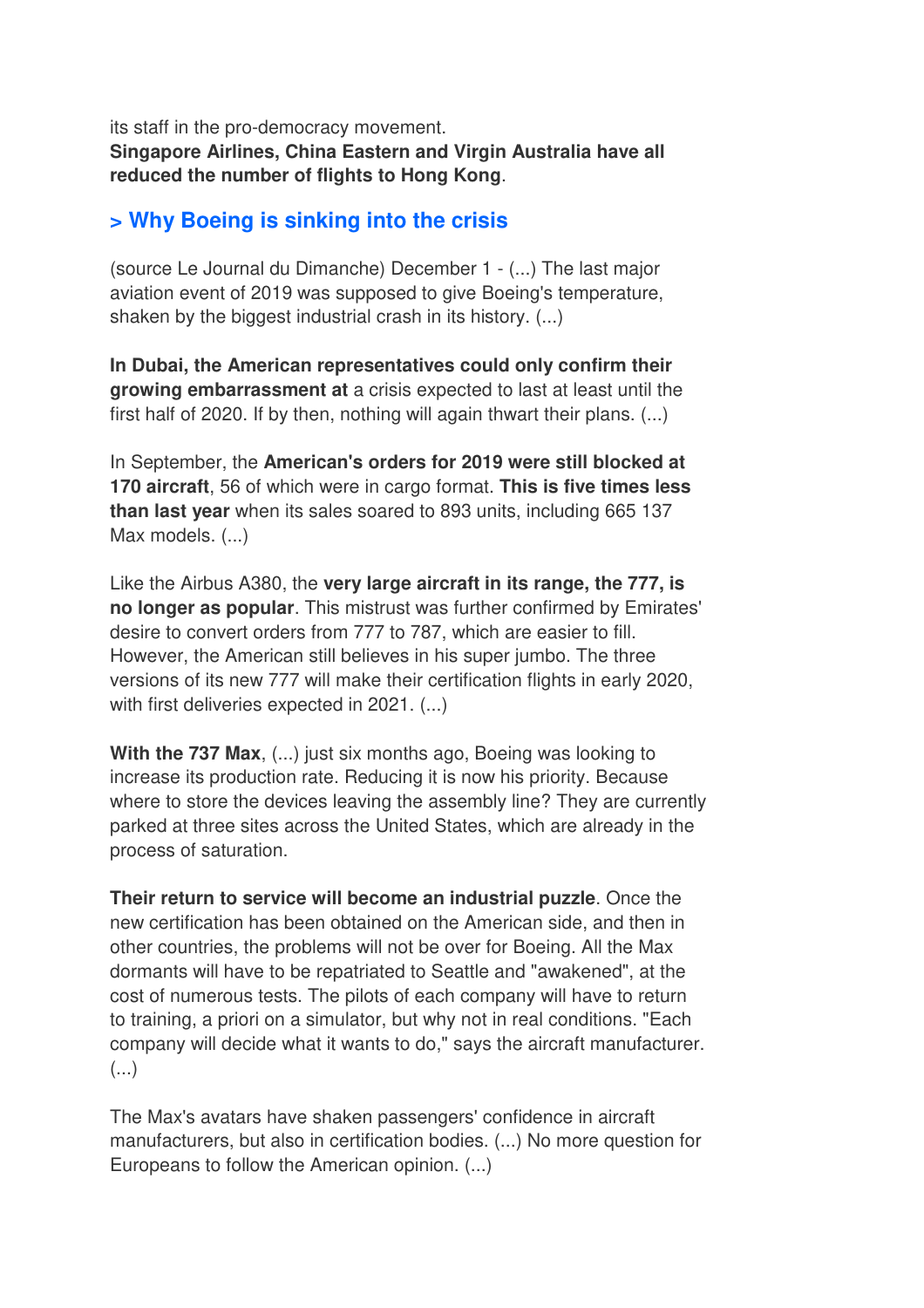its staff in the pro-democracy movement. **Singapore Airlines, China Eastern and Virgin Australia have all reduced the number of flights to Hong Kong**.

### **> Why Boeing is sinking into the crisis**

(source Le Journal du Dimanche) December 1 - (...) The last major aviation event of 2019 was supposed to give Boeing's temperature, shaken by the biggest industrial crash in its history. (...)

**In Dubai, the American representatives could only confirm their growing embarrassment at** a crisis expected to last at least until the first half of 2020. If by then, nothing will again thwart their plans. (...)

In September, the **American's orders for 2019 were still blocked at 170 aircraft**, 56 of which were in cargo format. **This is five times less than last year** when its sales soared to 893 units, including 665 137 Max models. (...)

Like the Airbus A380, the **very large aircraft in its range, the 777, is no longer as popular**. This mistrust was further confirmed by Emirates' desire to convert orders from 777 to 787, which are easier to fill. However, the American still believes in his super jumbo. The three versions of its new 777 will make their certification flights in early 2020, with first deliveries expected in 2021. (...)

**With the 737 Max**, (...) just six months ago, Boeing was looking to increase its production rate. Reducing it is now his priority. Because where to store the devices leaving the assembly line? They are currently parked at three sites across the United States, which are already in the process of saturation.

**Their return to service will become an industrial puzzle**. Once the new certification has been obtained on the American side, and then in other countries, the problems will not be over for Boeing. All the Max dormants will have to be repatriated to Seattle and "awakened", at the cost of numerous tests. The pilots of each company will have to return to training, a priori on a simulator, but why not in real conditions. "Each company will decide what it wants to do," says the aircraft manufacturer.  $\left( \ldots \right)$ 

The Max's avatars have shaken passengers' confidence in aircraft manufacturers, but also in certification bodies. (...) No more question for Europeans to follow the American opinion. (...)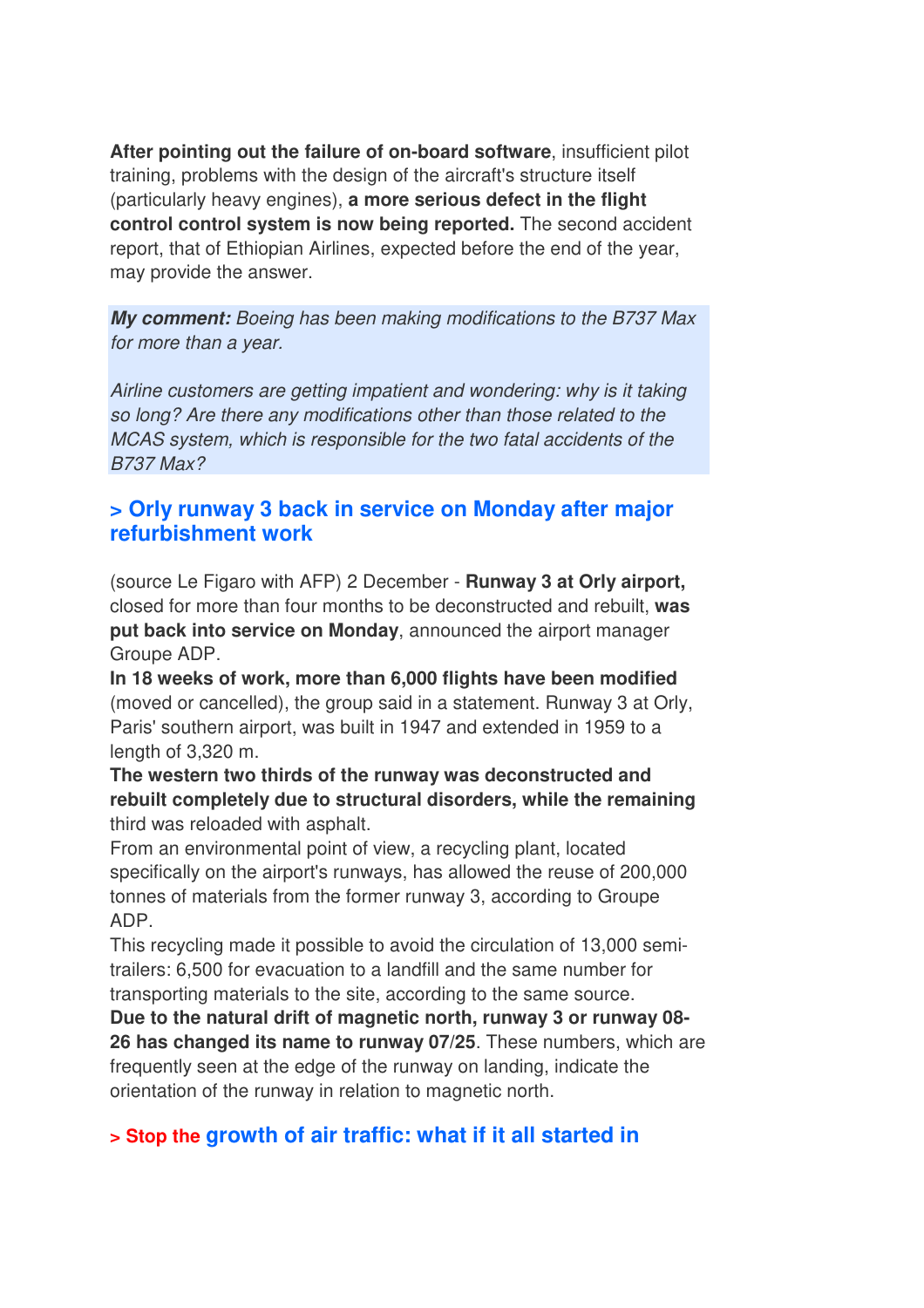**After pointing out the failure of on-board software**, insufficient pilot training, problems with the design of the aircraft's structure itself (particularly heavy engines), **a more serious defect in the flight control control system is now being reported.** The second accident report, that of Ethiopian Airlines, expected before the end of the year, may provide the answer.

*My comment: Boeing has been making modifications to the B737 Max for more than a year.* 

*Airline customers are getting impatient and wondering: why is it taking so long? Are there any modifications other than those related to the MCAS system, which is responsible for the two fatal accidents of the B737 Max?*

#### **> Orly runway 3 back in service on Monday after major refurbishment work**

(source Le Figaro with AFP) 2 December - **Runway 3 at Orly airport,** closed for more than four months to be deconstructed and rebuilt, **was put back into service on Monday**, announced the airport manager Groupe ADP.

**In 18 weeks of work, more than 6,000 flights have been modified** (moved or cancelled), the group said in a statement. Runway 3 at Orly, Paris' southern airport, was built in 1947 and extended in 1959 to a length of 3,320 m.

**The western two thirds of the runway was deconstructed and rebuilt completely due to structural disorders, while the remaining** third was reloaded with asphalt.

From an environmental point of view, a recycling plant, located specifically on the airport's runways, has allowed the reuse of 200,000 tonnes of materials from the former runway 3, according to Groupe ADP.

This recycling made it possible to avoid the circulation of 13,000 semitrailers: 6,500 for evacuation to a landfill and the same number for transporting materials to the site, according to the same source.

**Due to the natural drift of magnetic north, runway 3 or runway 08- 26 has changed its name to runway 07/25**. These numbers, which are frequently seen at the edge of the runway on landing, indicate the orientation of the runway in relation to magnetic north.

#### **> Stop the growth of air traffic: what if it all started in**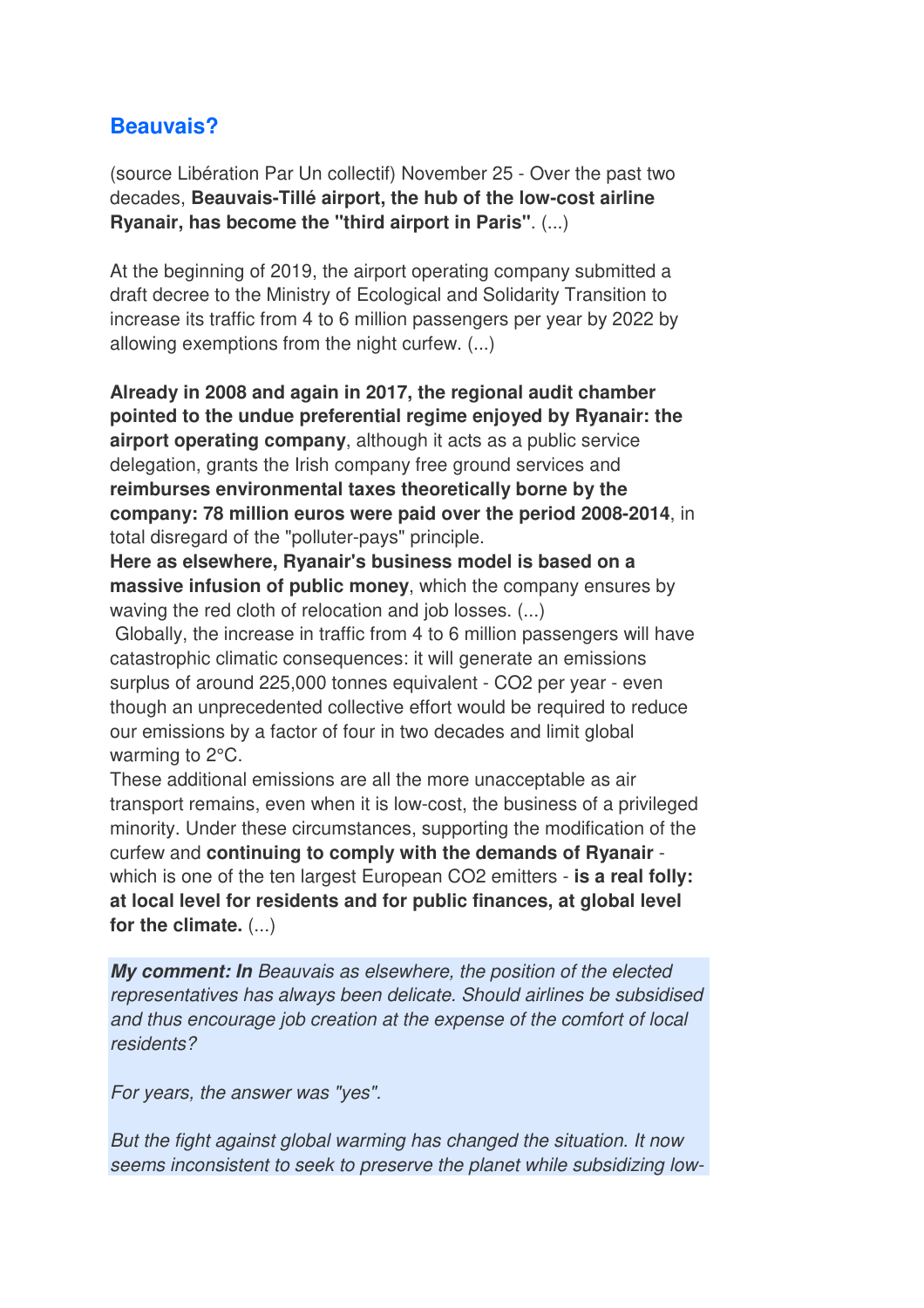#### **Beauvais?**

(source Libération Par Un collectif) November 25 - Over the past two decades, **Beauvais-Tillé airport, the hub of the low-cost airline Ryanair, has become the "third airport in Paris"**. (...)

At the beginning of 2019, the airport operating company submitted a draft decree to the Ministry of Ecological and Solidarity Transition to increase its traffic from 4 to 6 million passengers per year by 2022 by allowing exemptions from the night curfew. (...)

**Already in 2008 and again in 2017, the regional audit chamber pointed to the undue preferential regime enjoyed by Ryanair: the airport operating company**, although it acts as a public service delegation, grants the Irish company free ground services and **reimburses environmental taxes theoretically borne by the company: 78 million euros were paid over the period 2008-2014**, in total disregard of the "polluter-pays" principle.

**Here as elsewhere, Ryanair's business model is based on a massive infusion of public money**, which the company ensures by waving the red cloth of relocation and job losses. (...)

 Globally, the increase in traffic from 4 to 6 million passengers will have catastrophic climatic consequences: it will generate an emissions surplus of around 225,000 tonnes equivalent - CO2 per year - even though an unprecedented collective effort would be required to reduce our emissions by a factor of four in two decades and limit global warming to 2°C.

These additional emissions are all the more unacceptable as air transport remains, even when it is low-cost, the business of a privileged minority. Under these circumstances, supporting the modification of the curfew and **continuing to comply with the demands of Ryanair** which is one of the ten largest European CO2 emitters - **is a real folly: at local level for residents and for public finances, at global level for the climate.** (...)

*My comment: In Beauvais as elsewhere, the position of the elected representatives has always been delicate. Should airlines be subsidised and thus encourage job creation at the expense of the comfort of local residents?* 

*For years, the answer was "yes".* 

*But the fight against global warming has changed the situation. It now seems inconsistent to seek to preserve the planet while subsidizing low-*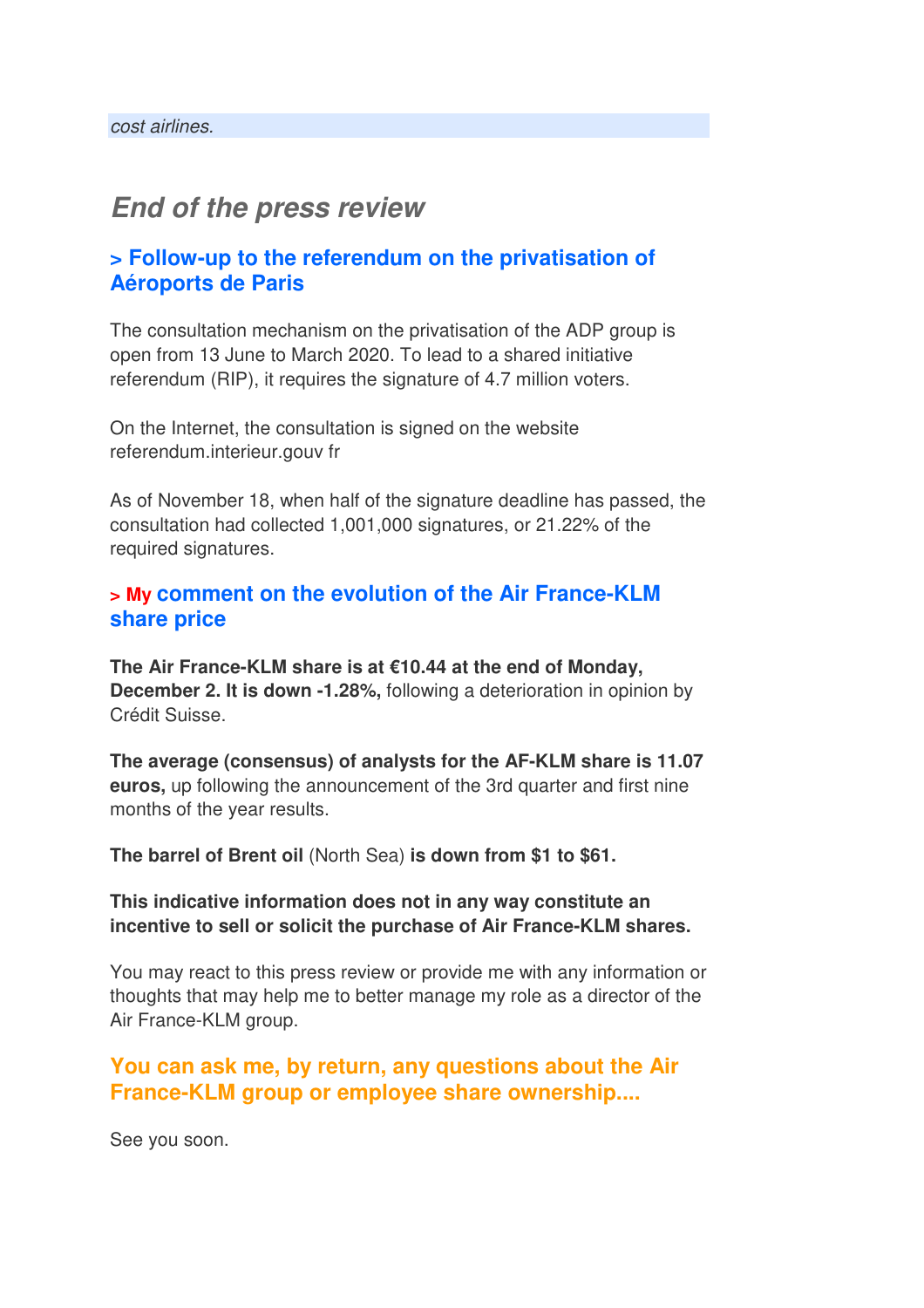# *End of the press review*

#### **> Follow-up to the referendum on the privatisation of Aéroports de Paris**

The consultation mechanism on the privatisation of the ADP group is open from 13 June to March 2020. To lead to a shared initiative referendum (RIP), it requires the signature of 4.7 million voters.

On the Internet, the consultation is signed on the website referendum.interieur.gouv fr

As of November 18, when half of the signature deadline has passed, the consultation had collected 1,001,000 signatures, or 21.22% of the required signatures.

#### **> My comment on the evolution of the Air France-KLM share price**

**The Air France-KLM share is at €10.44 at the end of Monday, December 2. It is down -1.28%,** following a deterioration in opinion by Crédit Suisse.

**The average (consensus) of analysts for the AF-KLM share is 11.07 euros,** up following the announcement of the 3rd quarter and first nine months of the year results.

**The barrel of Brent oil** (North Sea) **is down from \$1 to \$61.**

#### **This indicative information does not in any way constitute an incentive to sell or solicit the purchase of Air France-KLM shares.**

You may react to this press review or provide me with any information or thoughts that may help me to better manage my role as a director of the Air France-KLM group.

#### **You can ask me, by return, any questions about the Air France-KLM group or employee share ownership....**

See you soon.